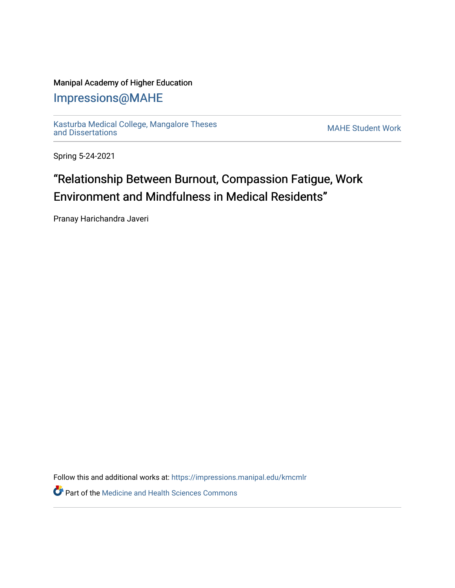### Manipal Academy of Higher Education

## [Impressions@MAHE](https://impressions.manipal.edu/)

[Kasturba Medical College, Mangalore Theses](https://impressions.manipal.edu/kmcmlr) [and Dissertations](https://impressions.manipal.edu/kmcmlr) [MAHE Student Work](https://impressions.manipal.edu/student-work) 

Spring 5-24-2021

# "Relationship Between Burnout, Compassion Fatigue, Work Environment and Mindfulness in Medical Residents"

Pranay Harichandra Javeri

Follow this and additional works at: [https://impressions.manipal.edu/kmcmlr](https://impressions.manipal.edu/kmcmlr?utm_source=impressions.manipal.edu%2Fkmcmlr%2F181&utm_medium=PDF&utm_campaign=PDFCoverPages) 

**Part of the Medicine and Health Sciences Commons**